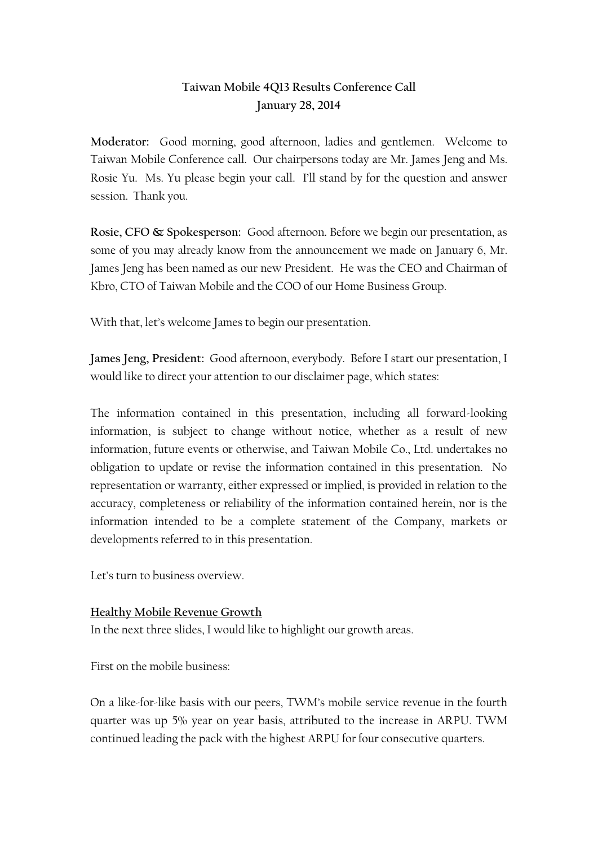# **Taiwan Mobile 4Q13 Results Conference Call January 28, 2014**

**Moderator:** Good morning, good afternoon, ladies and gentlemen. Welcome to Taiwan Mobile Conference call. Our chairpersons today are Mr. James Jeng and Ms. Rosie Yu. Ms. Yu please begin your call. I'll stand by for the question and answer session. Thank you.

**Rosie, CFO & Spokesperson:** Good afternoon. Before we begin our presentation, as some of you may already know from the announcement we made on January 6, Mr. James Jeng has been named as our new President. He was the CEO and Chairman of Kbro, CTO of Taiwan Mobile and the COO of our Home Business Group.

With that, let's welcome James to begin our presentation.

**James Jeng, President:** Good afternoon, everybody. Before I start our presentation, I would like to direct your attention to our disclaimer page, which states:

The information contained in this presentation, including all forward-looking information, is subject to change without notice, whether as a result of new information, future events or otherwise, and Taiwan Mobile Co., Ltd. undertakes no obligation to update or revise the information contained in this presentation. No representation or warranty, either expressed or implied, is provided in relation to the accuracy, completeness or reliability of the information contained herein, nor is the information intended to be a complete statement of the Company, markets or developments referred to in this presentation.

Let's turn to business overview.

# **Healthy Mobile Revenue Growth** In the next three slides, I would like to highlight our growth areas.

First on the mobile business:

On a like-for-like basis with our peers, TWM's mobile service revenue in the fourth quarter was up 5% year on year basis, attributed to the increase in ARPU. TWM continued leading the pack with the highest ARPU for four consecutive quarters.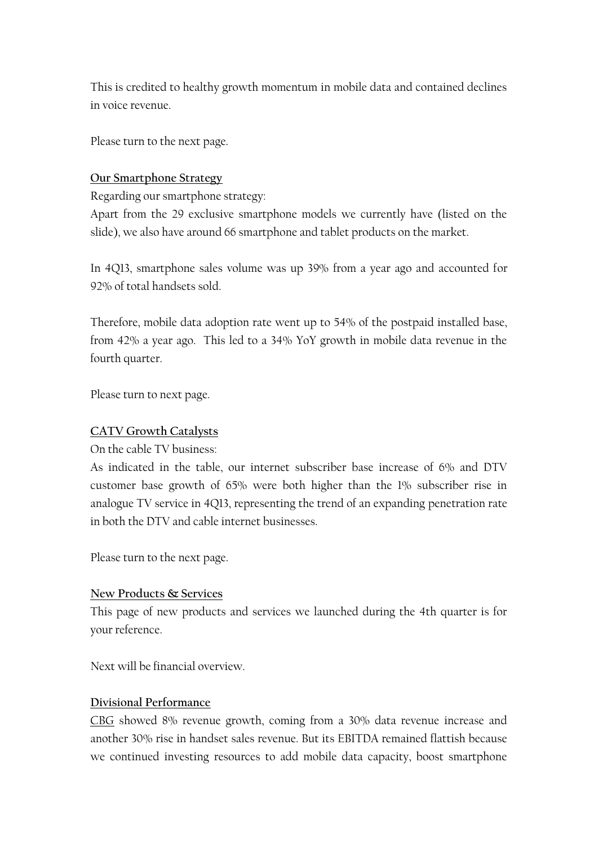This is credited to healthy growth momentum in mobile data and contained declines in voice revenue.

Please turn to the next page.

#### **Our Smartphone Strategy**

Regarding our smartphone strategy:

Apart from the 29 exclusive smartphone models we currently have (listed on the slide), we also have around 66 smartphone and tablet products on the market.

In 4Q13, smartphone sales volume was up 39% from a year ago and accounted for 92% of total handsets sold.

Therefore, mobile data adoption rate went up to 54% of the postpaid installed base, from 42% a year ago. This led to a 34% YoY growth in mobile data revenue in the fourth quarter.

Please turn to next page.

#### **CATV Growth Catalysts**

On the cable TV business:

As indicated in the table, our internet subscriber base increase of 6% and DTV customer base growth of 65% were both higher than the 1% subscriber rise in analogue TV service in 4Q13, representing the trend of an expanding penetration rate in both the DTV and cable internet businesses.

Please turn to the next page.

#### **New Products & Services**

This page of new products and services we launched during the 4th quarter is for your reference.

Next will be financial overview.

#### **Divisional Performance**

CBG showed 8% revenue growth, coming from a 30% data revenue increase and another 30% rise in handset sales revenue. But its EBITDA remained flattish because we continued investing resources to add mobile data capacity, boost smartphone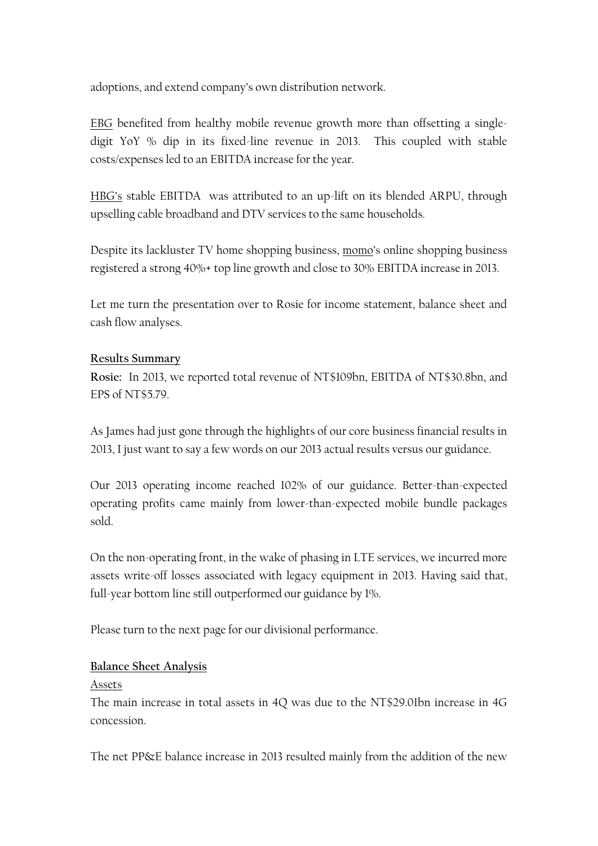adoptions, and extend company's own distribution network.

EBG benefited from healthy mobile revenue growth more than offsetting a singledigit YoY % dip in its fixed-line revenue in 2013. This coupled with stable costs/expenses led to an EBITDA increase for the year.

HBG's stable EBITDA was attributed to an up-lift on its blended ARPU, through upselling cable broadband and DTV services to the same households.

Despite its lackluster TV home shopping business, momo's online shopping business registered a strong 40%+ top line growth and close to 30% EBITDA increase in 2013.

Let me turn the presentation over to Rosie for income statement, balance sheet and cash flow analyses.

## **Results Summary**

**Rosie:** In 2013, we reported total revenue of NT\$109bn, EBITDA of NT\$30.8bn, and EPS of NT\$5.79.

As James had just gone through the highlights of our core business financial results in 2013, I just want to say a few words on our 2013 actual results versus our guidance.

Our 2013 operating income reached 102% of our guidance. Better-than-expected operating profits came mainly from lower-than-expected mobile bundle packages sold.

On the non-operating front, in the wake of phasing in LTE services, we incurred more assets write-off losses associated with legacy equipment in 2013. Having said that, full-year bottom line still outperformed our guidance by 1%.

Please turn to the next page for our divisional performance.

## **Balance Sheet Analysis**

#### Assets

The main increase in total assets in 4Q was due to the NT\$29.01bn increase in 4G concession.

The net PP&E balance increase in 2013 resulted mainly from the addition of the new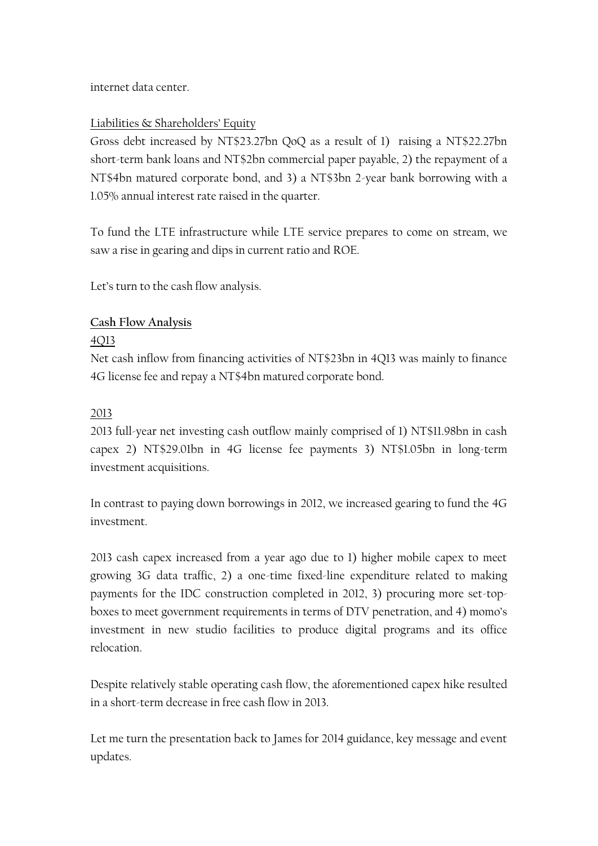internet data center.

## Liabilities & Shareholders' Equity

Gross debt increased by NT\$23.27bn QoQ as a result of 1) raising a NT\$22.27bn short-term bank loans and NT\$2bn commercial paper payable, 2) the repayment of a NT\$4bn matured corporate bond, and 3) a NT\$3bn 2-year bank borrowing with a 1.05% annual interest rate raised in the quarter.

To fund the LTE infrastructure while LTE service prepares to come on stream, we saw a rise in gearing and dips in current ratio and ROE.

Let's turn to the cash flow analysis.

## **Cash Flow Analysis**

#### 4Q13

Net cash inflow from financing activities of NT\$23bn in 4Q13 was mainly to finance 4G license fee and repay a NT\$4bn matured corporate bond.

## 2013

2013 full-year net investing cash outflow mainly comprised of 1) NT\$11.98bn in cash capex 2) NT\$29.01bn in 4G license fee payments 3) NT\$1.05bn in long-term investment acquisitions.

In contrast to paying down borrowings in 2012, we increased gearing to fund the 4G investment.

2013 cash capex increased from a year ago due to 1) higher mobile capex to meet growing 3G data traffic, 2) a one-time fixed-line expenditure related to making payments for the IDC construction completed in 2012, 3) procuring more set-topboxes to meet government requirements in terms of DTV penetration, and 4) momo's investment in new studio facilities to produce digital programs and its office relocation.

Despite relatively stable operating cash flow, the aforementioned capex hike resulted in a short-term decrease in free cash flow in 2013.

Let me turn the presentation back to James for 2014 guidance, key message and event updates.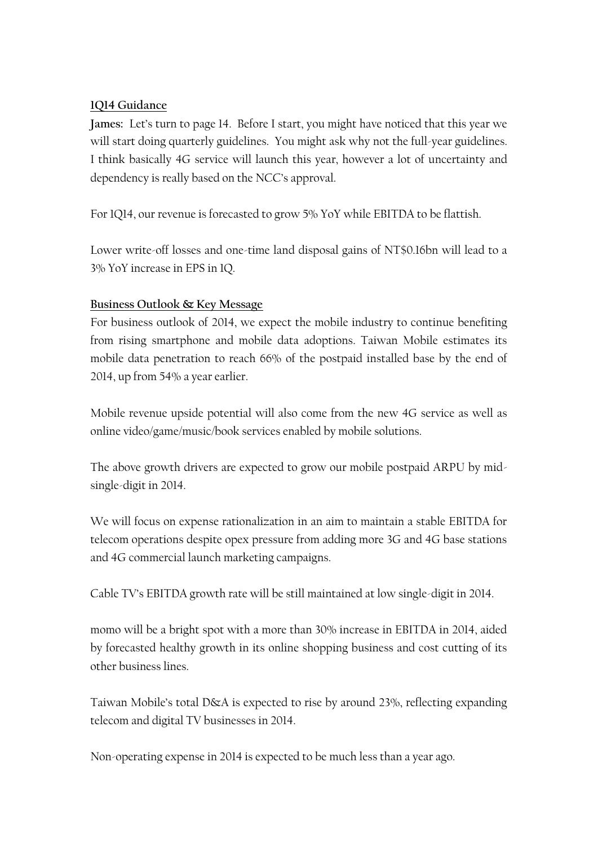## **1Q14 Guidance**

**James:** Let's turn to page 14. Before I start, you might have noticed that this year we will start doing quarterly guidelines. You might ask why not the full-year guidelines. I think basically 4G service will launch this year, however a lot of uncertainty and dependency is really based on the NCC's approval.

For 1Q14, our revenue is forecasted to grow 5% YoY while EBITDA to be flattish.

Lower write-off losses and one-time land disposal gains of NT\$0.16bn will lead to a 3% YoY increase in EPS in 1Q.

## **Business Outlook & Key Message**

For business outlook of 2014, we expect the mobile industry to continue benefiting from rising smartphone and mobile data adoptions. Taiwan Mobile estimates its mobile data penetration to reach 66% of the postpaid installed base by the end of 2014, up from 54% a year earlier.

Mobile revenue upside potential will also come from the new 4G service as well as online video/game/music/book services enabled by mobile solutions.

The above growth drivers are expected to grow our mobile postpaid ARPU by midsingle-digit in 2014.

We will focus on expense rationalization in an aim to maintain a stable EBITDA for telecom operations despite opex pressure from adding more 3G and 4G base stations and 4G commercial launch marketing campaigns.

Cable TV's EBITDA growth rate will be still maintained at low single-digit in 2014.

momo will be a bright spot with a more than 30% increase in EBITDA in 2014, aided by forecasted healthy growth in its online shopping business and cost cutting of its other business lines.

Taiwan Mobile's total D&A is expected to rise by around 23%, reflecting expanding telecom and digital TV businesses in 2014.

Non-operating expense in 2014 is expected to be much less than a year ago.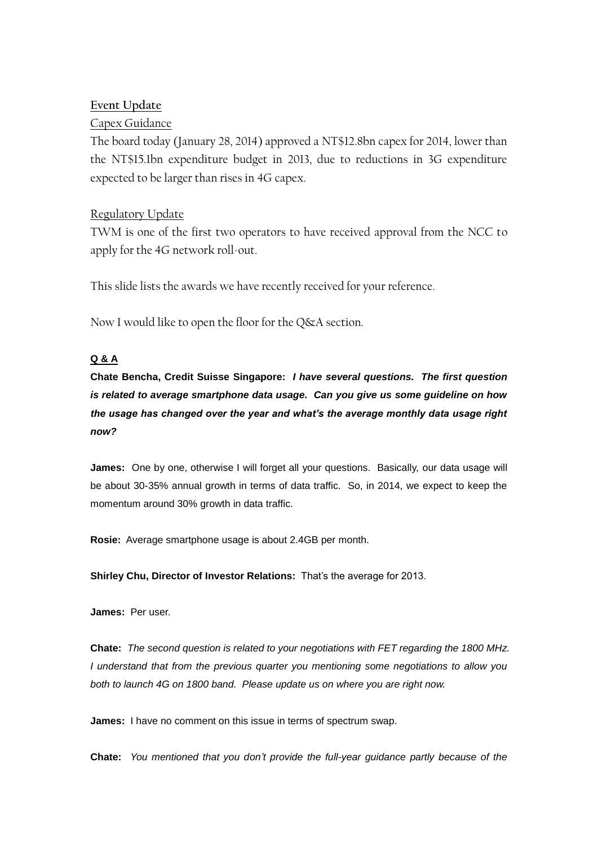#### **Event Update**

#### Capex Guidance

The board today (January 28, 2014) approved a NT\$12.8bn capex for 2014, lower than the NT\$15.1bn expenditure budget in 2013, due to reductions in 3G expenditure expected to be larger than rises in 4G capex.

#### Regulatory Update

TWM is one of the first two operators to have received approval from the NCC to apply for the 4G network roll-out.

This slide lists the awards we have recently received for your reference.

Now I would like to open the floor for the Q&A section.

#### **Q & A**

**Chate Bencha, Credit Suisse Singapore:** *I have several questions. The first question is related to average smartphone data usage. Can you give us some guideline on how the usage has changed over the year and what's the average monthly data usage right now?*

**James:** One by one, otherwise I will forget all your questions. Basically, our data usage will be about 30-35% annual growth in terms of data traffic. So, in 2014, we expect to keep the momentum around 30% growth in data traffic.

**Rosie:** Average smartphone usage is about 2.4GB per month.

**Shirley Chu, Director of Investor Relations:** That's the average for 2013.

**James:** Per user.

**Chate:** *The second question is related to your negotiations with FET regarding the 1800 MHz. I understand that from the previous quarter you mentioning some negotiations to allow you both to launch 4G on 1800 band. Please update us on where you are right now.*

**James:** I have no comment on this issue in terms of spectrum swap.

**Chate:** *You mentioned that you don't provide the full-year guidance partly because of the*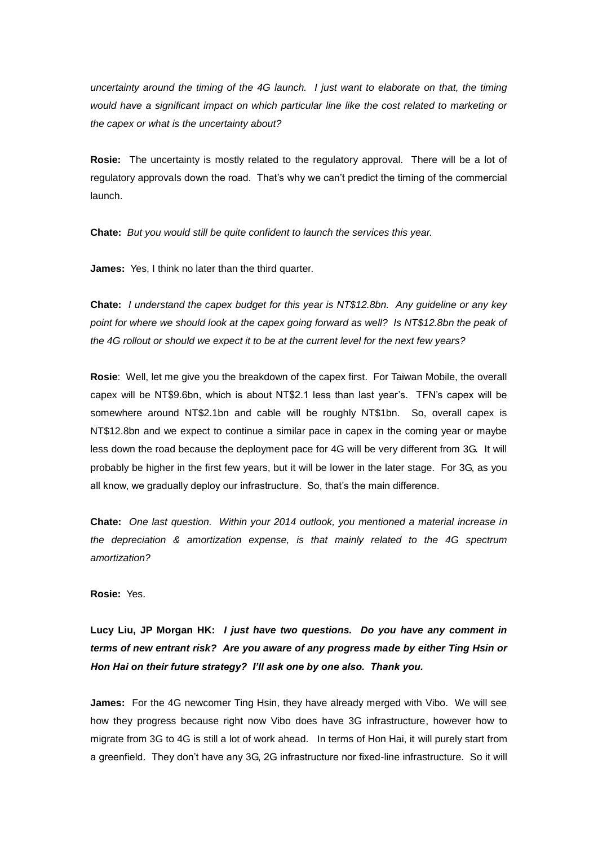*uncertainty around the timing of the 4G launch. I just want to elaborate on that, the timing would have a significant impact on which particular line like the cost related to marketing or the capex or what is the uncertainty about?*

**Rosie:** The uncertainty is mostly related to the regulatory approval. There will be a lot of regulatory approvals down the road. That's why we can't predict the timing of the commercial launch.

**Chate:** *But you would still be quite confident to launch the services this year.*

**James:** Yes, I think no later than the third quarter.

**Chate:** *I understand the capex budget for this year is NT\$12.8bn. Any guideline or any key*  point for where we should look at the capex going forward as well? Is NT\$12.8bn the peak of *the 4G rollout or should we expect it to be at the current level for the next few years?* 

**Rosie**: Well, let me give you the breakdown of the capex first. For Taiwan Mobile, the overall capex will be NT\$9.6bn, which is about NT\$2.1 less than last year's. TFN's capex will be somewhere around NT\$2.1bn and cable will be roughly NT\$1bn. So, overall capex is NT\$12.8bn and we expect to continue a similar pace in capex in the coming year or maybe less down the road because the deployment pace for 4G will be very different from 3G. It will probably be higher in the first few years, but it will be lower in the later stage. For 3G, as you all know, we gradually deploy our infrastructure. So, that's the main difference.

**Chate:** *One last question. Within your 2014 outlook, you mentioned a material increase in the depreciation & amortization expense, is that mainly related to the 4G spectrum amortization?* 

**Rosie:** Yes.

**Lucy Liu, JP Morgan HK:** *I just have two questions. Do you have any comment in terms of new entrant risk? Are you aware of any progress made by either Ting Hsin or Hon Hai on their future strategy? I'll ask one by one also. Thank you.*

**James:** For the 4G newcomer Ting Hsin, they have already merged with Vibo. We will see how they progress because right now Vibo does have 3G infrastructure, however how to migrate from 3G to 4G is still a lot of work ahead. In terms of Hon Hai, it will purely start from a greenfield. They don't have any 3G, 2G infrastructure nor fixed-line infrastructure. So it will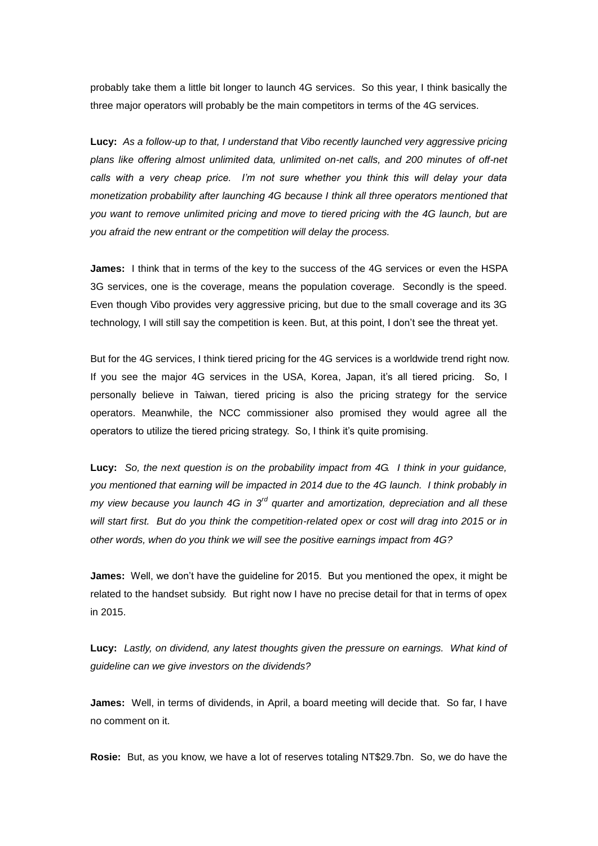probably take them a little bit longer to launch 4G services. So this year, I think basically the three major operators will probably be the main competitors in terms of the 4G services.

**Lucy:** *As a follow-up to that, I understand that Vibo recently launched very aggressive pricing plans like offering almost unlimited data, unlimited on-net calls, and 200 minutes of off-net calls with a very cheap price. I'm not sure whether you think this will delay your data monetization probability after launching 4G because I think all three operators mentioned that you want to remove unlimited pricing and move to tiered pricing with the 4G launch, but are you afraid the new entrant or the competition will delay the process.* 

**James:** I think that in terms of the key to the success of the 4G services or even the HSPA 3G services, one is the coverage, means the population coverage. Secondly is the speed. Even though Vibo provides very aggressive pricing, but due to the small coverage and its 3G technology, I will still say the competition is keen. But, at this point, I don't see the threat yet.

But for the 4G services, I think tiered pricing for the 4G services is a worldwide trend right now. If you see the major 4G services in the USA, Korea, Japan, it's all tiered pricing. So, I personally believe in Taiwan, tiered pricing is also the pricing strategy for the service operators. Meanwhile, the NCC commissioner also promised they would agree all the operators to utilize the tiered pricing strategy. So, I think it's quite promising.

**Lucy:** *So, the next question is on the probability impact from 4G. I think in your guidance, you mentioned that earning will be impacted in 2014 due to the 4G launch. I think probably in my view because you launch 4G in 3rd quarter and amortization, depreciation and all these will start first. But do you think the competition-related opex or cost will drag into 2015 or in other words, when do you think we will see the positive earnings impact from 4G?*

**James:** Well, we don't have the guideline for 2015. But you mentioned the opex, it might be related to the handset subsidy. But right now I have no precise detail for that in terms of opex in 2015.

**Lucy:** *Lastly, on dividend, any latest thoughts given the pressure on earnings. What kind of guideline can we give investors on the dividends?*

**James:** Well, in terms of dividends, in April, a board meeting will decide that. So far, I have no comment on it.

**Rosie:** But, as you know, we have a lot of reserves totaling NT\$29.7bn. So, we do have the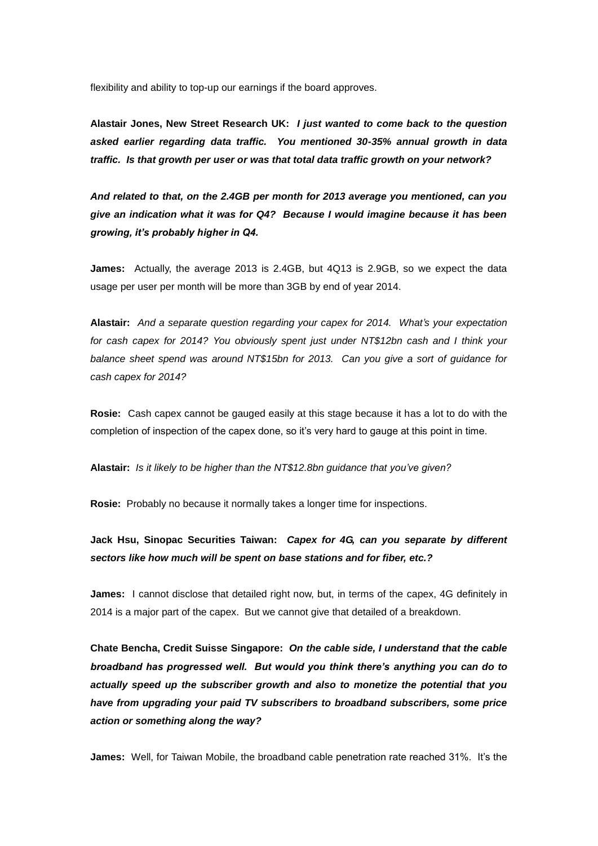flexibility and ability to top-up our earnings if the board approves.

**Alastair Jones, New Street Research UK:** *I just wanted to come back to the question asked earlier regarding data traffic. You mentioned 30-35% annual growth in data traffic. Is that growth per user or was that total data traffic growth on your network?* 

*And related to that, on the 2.4GB per month for 2013 average you mentioned, can you give an indication what it was for Q4? Because I would imagine because it has been growing, it's probably higher in Q4.*

**James:** Actually, the average 2013 is 2.4GB, but 4Q13 is 2.9GB, so we expect the data usage per user per month will be more than 3GB by end of year 2014.

**Alastair:** *And a separate question regarding your capex for 2014. What's your expectation for cash capex for 2014? You obviously spent just under NT\$12bn cash and I think your balance sheet spend was around NT\$15bn for 2013. Can you give a sort of guidance for cash capex for 2014?*

**Rosie:** Cash capex cannot be gauged easily at this stage because it has a lot to do with the completion of inspection of the capex done, so it's very hard to gauge at this point in time.

**Alastair:** *Is it likely to be higher than the NT\$12.8bn guidance that you've given?*

**Rosie:** Probably no because it normally takes a longer time for inspections.

**Jack Hsu, Sinopac Securities Taiwan:** *Capex for 4G, can you separate by different sectors like how much will be spent on base stations and for fiber, etc.?*

**James:** I cannot disclose that detailed right now, but, in terms of the capex, 4G definitely in 2014 is a major part of the capex. But we cannot give that detailed of a breakdown.

**Chate Bencha, Credit Suisse Singapore:** *On the cable side, I understand that the cable broadband has progressed well. But would you think there's anything you can do to actually speed up the subscriber growth and also to monetize the potential that you have from upgrading your paid TV subscribers to broadband subscribers, some price action or something along the way?*

**James:** Well, for Taiwan Mobile, the broadband cable penetration rate reached 31%. It's the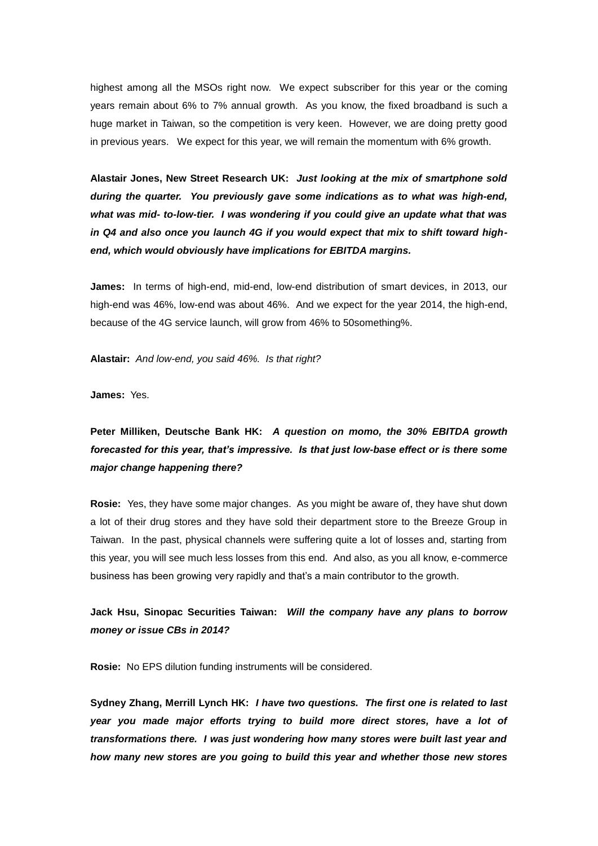highest among all the MSOs right now. We expect subscriber for this year or the coming years remain about 6% to 7% annual growth. As you know, the fixed broadband is such a huge market in Taiwan, so the competition is very keen. However, we are doing pretty good in previous years. We expect for this year, we will remain the momentum with 6% growth.

**Alastair Jones, New Street Research UK:** *Just looking at the mix of smartphone sold during the quarter. You previously gave some indications as to what was high-end, what was mid- to-low-tier. I was wondering if you could give an update what that was in Q4 and also once you launch 4G if you would expect that mix to shift toward highend, which would obviously have implications for EBITDA margins.*

**James:** In terms of high-end, mid-end, low-end distribution of smart devices, in 2013, our high-end was 46%, low-end was about 46%. And we expect for the year 2014, the high-end, because of the 4G service launch, will grow from 46% to 50something%.

**Alastair:** *And low-end, you said 46%. Is that right?*

**James:** Yes.

# **Peter Milliken, Deutsche Bank HK:** *A question on momo, the 30% EBITDA growth forecasted for this year, that's impressive. Is that just low-base effect or is there some major change happening there?*

**Rosie:** Yes, they have some major changes. As you might be aware of, they have shut down a lot of their drug stores and they have sold their department store to the Breeze Group in Taiwan. In the past, physical channels were suffering quite a lot of losses and, starting from this year, you will see much less losses from this end. And also, as you all know, e-commerce business has been growing very rapidly and that's a main contributor to the growth.

## **Jack Hsu, Sinopac Securities Taiwan:** *Will the company have any plans to borrow money or issue CBs in 2014?*

**Rosie:** No EPS dilution funding instruments will be considered.

**Sydney Zhang, Merrill Lynch HK:** *I have two questions. The first one is related to last year you made major efforts trying to build more direct stores, have a lot of transformations there. I was just wondering how many stores were built last year and how many new stores are you going to build this year and whether those new stores*